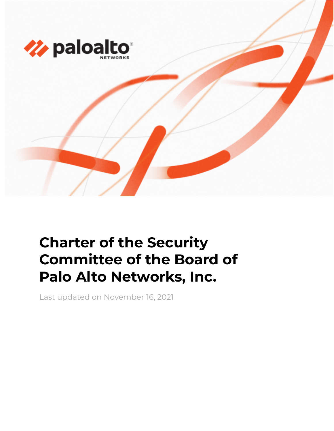

# **Charter of the Security Committee of the Board of Palo Alto Networks, Inc.**

Last updated on November 16, 2021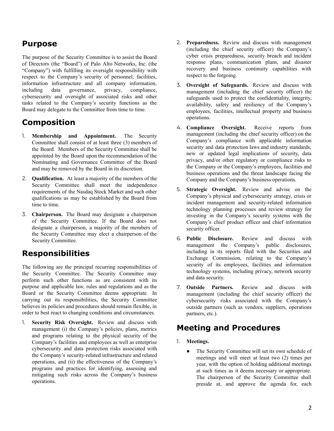#### **Purpose**

The purpose of the Security Committee is to assist the Board of Directors (the "Board") of Palo Alto Networks, Inc. (the "Company") with fulfilling its oversight responsibility with respect to the Company's security of personnel, facilities, information infrastructure and all company information, including data governance, privacy, compliance, cybersecurity and oversight of associated risks and other tasks related to the Company's security functions as the Board may delegate to the Committee from time to time.

# **Composition**

- 1. **Membership and Appointment.** The Security Committee shall consist of at least three (3) members of the Board. Members of the Security Committee shall be appointed by the Board upon the recommendation of the Nominating and Governance Committee of the Board and may be removed by the Board in its discretion.
- 2. **Qualification.** At least a majority of the members of the Security Committee shall meet the independence requirements of the Nasdaq Stock Market and such other qualifications as may be established by the Board from time to time.
- 3. **Chairperson.** The Board may designate a chairperson of the Security Committee. If the Board does not designate a chairperson, a majority of the members of the Security Committee may elect a chairperson of the Security Committee.

## **Responsibilities**

The following are the principal recurring responsibilities of the Security Committee. The Security Committee may perform such other functions as are consistent with its purpose and applicable law, rules and regulations and as the Board or the Security Committee deems appropriate. In carrying out its responsibilities, the Security Committee believes its policies and procedures should remain flexible, in order to best react to changing conditions and circumstances.

1. **Security Risk Oversight.** Review and discuss with management (i) the Company's policies, plans, metrics and programs relating to the physical security of the Company's facilities and employees as well as enterprise cybersecurity and data protection risks associated with the Company's security-related infrastructure and related operations, and (ii) the effectiveness of the Company's programs and practices for identifying, assessing and mitigating such risks across the Company's business operations.

- 2. **Preparedness.** Review and discuss with management (including the chief security officer) the Company's cyber crisis preparedness, security breach and incident response plans, communication plans, and disaster recovery and business continuity capabilities with respect to the forgoing.
- 3. **Oversight of Safeguards.** Review and discuss with management (including the chief security officer) the safeguards used to protect the confidentiality, integrity, availability, safety and resiliency of the Company's employees, facilities, intellectual property and business operations.
- 4. **Compliance Oversight.** Receive reports from management (including the chief security officer) on the Company's compliance with applicable information security and data protection laws and industry standards, new or updated legal implications of security, data privacy, and/or other regulatory or compliance risks to the Company or the Company's employees, facilities and business operations and the threat landscape facing the Company and the Company's business operations.
- 5. **Strategic Oversight.** Review and advise on the Company's physical and cybersecurity strategy, crisis or incident management and security-related information technology planning processes and review strategy for investing in the Company's security systems with the Company's chief product officer and chief information security officer.
- 6. **Public Disclosure.** Review and discuss with management the Company's public disclosures, including in its reports filed with the Securities and Exchange Commission, relating to the Company's security of its employees, facilities and information technology systems, including privacy, network security and data security.
- 7. **Outside Partners.** Review and discuss with management (including the chief security officer) the cybersecurity risks associated with the Company's outside partners (such as vendors, suppliers, operations partners, etc.).

## **Meeting and Procedures**

- 1. **Meetings.**
	- The Security Committee will set its own schedule of meetings and will meet at least two (2) times per year, with the option of holding additional meetings at such times as it deems necessary or appropriate. The chairperson of the Security Committee shall preside at, and approve the agenda for, each